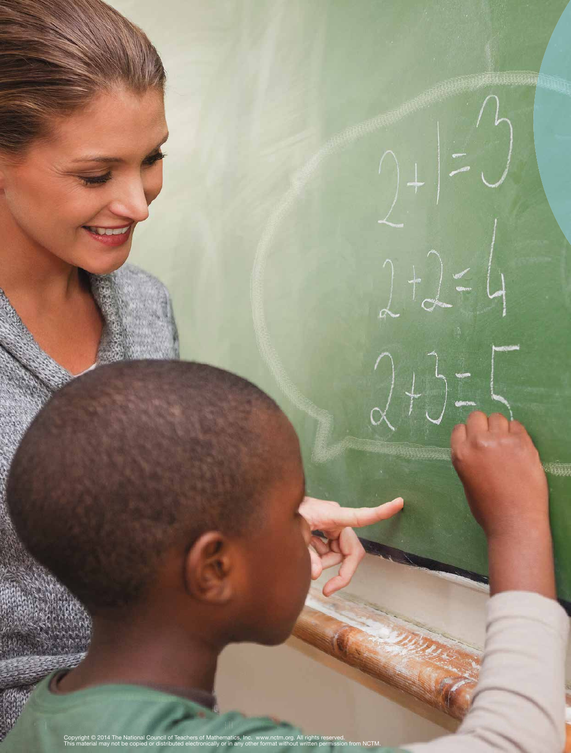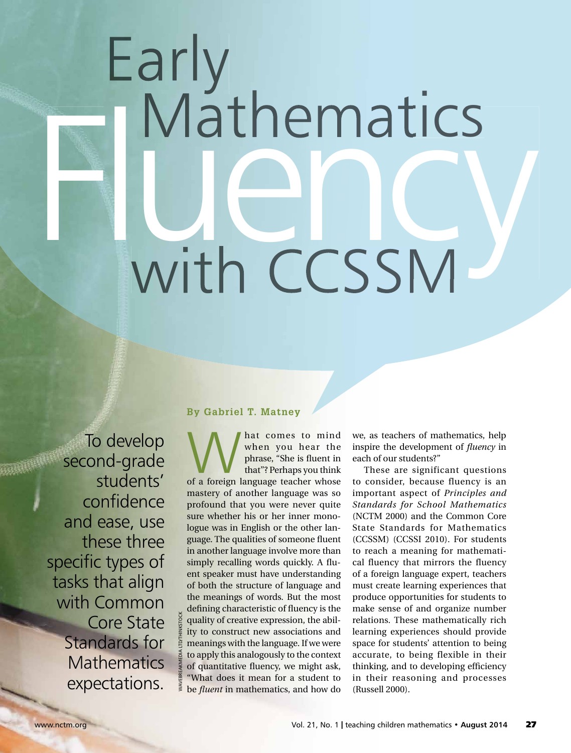# Early<br>I Mathematics with CCSSM

To develop second-grade students' confidence and ease, use these three specific types of tasks that align with Common Core State Standards for **Mathematics** expectations.

WAVEBREAKMEDIA LTD/THINKSTOCK

# **By Gabriel T. Matney**

What comes to mind<br>
when you hear the<br>
phrase, "She is fluent in<br>
that"? Perhaps you think<br>
of a foreign language teacher whose when you hear the phrase, "She is fluent in that"? Perhaps you think mastery of another language was so profound that you were never quite sure whether his or her inner monologue was in English or the other language. The qualities of someone fluent in another language involve more than simply recalling words quickly. A fluent speaker must have understanding of both the structure of language and the meanings of words. But the most defining characteristic of fluency is the quality of creative expression, the ability to construct new associations and meanings with the language. If we were to apply this analogously to the context of quantitative fluency, we might ask, "What does it mean for a student to be *fluent* in mathematics, and how do

we, as teachers of mathematics, help inspire the development of *fluency* in each of our students?"

These are significant questions to consider, because fluency is an important aspect of *Principles and Standards for School Mathematics* (NCTM 2000) and the Common Core State Standards for Mathematics (CCSSM) (CCSSI 2010). For students to reach a meaning for mathematical fluency that mirrors the fluency of a foreign language expert, teachers must create learning experiences that produce opportunities for students to make sense of and organize number relations. These mathematically rich learning experiences should provide space for students' attention to being accurate, to being flexible in their thinking, and to developing efficiency in their reasoning and processes (Russell 2000).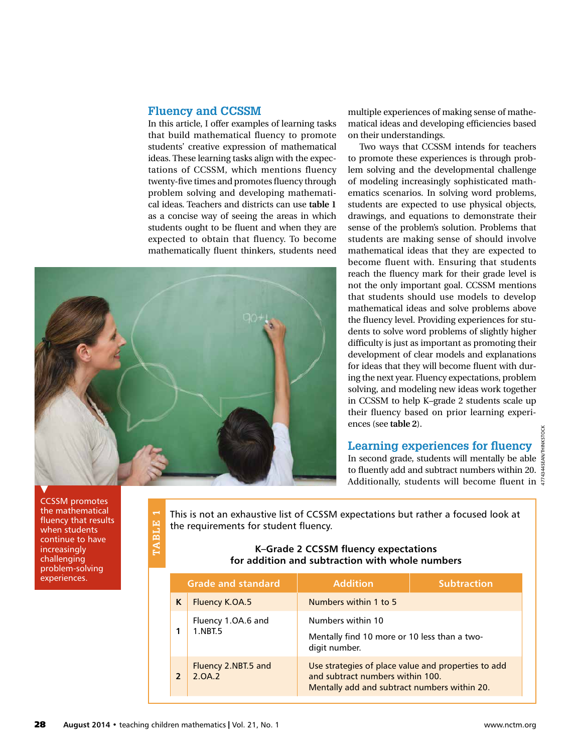# **Fluency and CCSSM**

In this article, I offer examples of learning tasks that build mathematical fluency to promote students' creative expression of mathematical ideas. These learning tasks align with the expectations of CCSSM, which mentions fluency twenty-five times and promotes fluency through problem solving and developing mathematical ideas. Teachers and districts can use **table 1** as a concise way of seeing the areas in which students ought to be fluent and when they are expected to obtain that fluency. To become mathematically fluent thinkers, students need



multiple experiences of making sense of mathematical ideas and developing efficiencies based on their understandings.

Two ways that CCSSM intends for teachers to promote these experiences is through problem solving and the developmental challenge of modeling increasingly sophisticated mathematics scenarios. In solving word problems, students are expected to use physical objects, drawings, and equations to demonstrate their sense of the problem's solution. Problems that students are making sense of should involve mathematical ideas that they are expected to become fluent with. Ensuring that students reach the fluency mark for their grade level is not the only important goal. CCSSM mentions that students should use models to develop mathematical ideas and solve problems above the fluency level. Providing experiences for students to solve word problems of slightly higher difficulty is just as important as promoting their development of clear models and explanations for ideas that they will become fluent with during the next year. Fluency expectations, problem solving, and modeling new ideas work together in CCSSM to help K–grade 2 students scale up their fluency based on prior learning experiences (see **table 2**).

# **Learning experiences for fluency**

4774344SEAN/THINKSTOCKTHINKST In second grade, students will mentally be able  $\frac{3}{5}$ to fluently add and subtract numbers within 20.  $\frac{4}{3}$ Additionally, students will become fluent in  $\frac{8}{9}$ 

This is not an exhaustive list of CCSSM expectations but rather a focused look at the requirements for student fluency.

## **K–Grade 2 CCSSM fluency expectations for addition and subtraction with whole numbers**

| continue to have<br>increasingly<br>challenging<br>problem-solving | TABLE          | K-Grade 2 CCSSM fluency expectations<br>for addition and subtraction with whole numbers |                                                                                                                                         |                    |  |
|--------------------------------------------------------------------|----------------|-----------------------------------------------------------------------------------------|-----------------------------------------------------------------------------------------------------------------------------------------|--------------------|--|
| experiences.                                                       |                | <b>Grade and standard</b>                                                               | <b>Addition</b>                                                                                                                         | <b>Subtraction</b> |  |
|                                                                    | K              | Fluency K.OA.5                                                                          | Numbers within 1 to 5                                                                                                                   |                    |  |
|                                                                    |                | Fluency 1.OA.6 and                                                                      | Numbers within 10                                                                                                                       |                    |  |
|                                                                    | 1              | 1.NBT.5                                                                                 | Mentally find 10 more or 10 less than a two-<br>digit number.                                                                           |                    |  |
|                                                                    | $\overline{2}$ | Fluency 2.NBT.5 and<br>2.0A.2                                                           | Use strategies of place value and properties to add<br>and subtract numbers within 100.<br>Mentally add and subtract numbers within 20. |                    |  |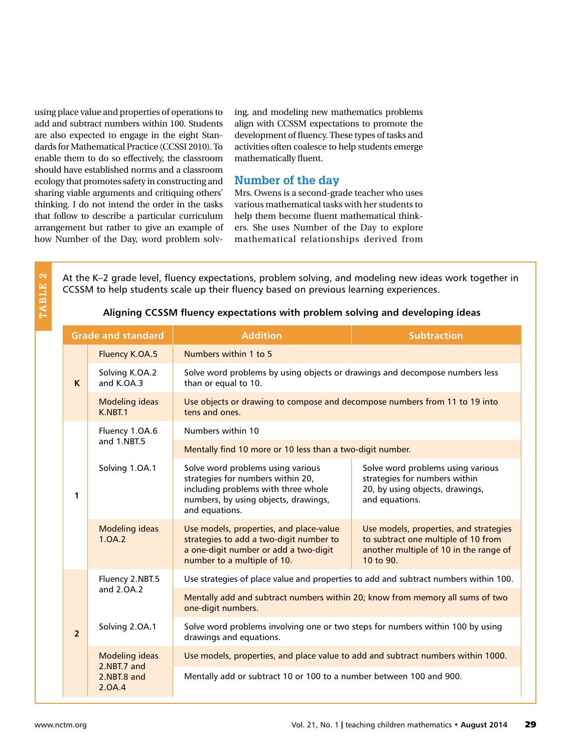using place value and properties of operations to add and subtract numbers within 100. Students are also expected to engage in the eight Standards for Mathematical Practice (CCSSI 2010). To enable them to do so effectively, the classroom should have established norms and a classroom ecology that promotes safety in constructing and sharing viable arguments and critiquing others' thinking. I do not intend the order in the tasks that follow to describe a particular curriculum arrangement but rather to give an example of how Number of the Day, word problem solving, and modeling new mathematics problems align with CCSSM expectations to promote the development of fluency. These types of tasks and activities often coalesce to help students emerge mathematically fluent.

# **Number of the day**

Mrs. Owens is a second-grade teacher who uses various mathematical tasks with her students to help them become fluent mathematical thinkers. She uses Number of the Day to explore mathematical relationships derived from

TABLE 2 **TABLE 2** At the K–2 grade level, fluency expectations, problem solving, and modeling new ideas work together in CCSSM to help students scale up their fluency based on previous learning experiences.

| <b>Grade and standard</b> |                                                               | <b>Addition</b>                                                                                                                                                         | <b>Subtraction</b>                                                                                                                   |  |  |  |
|---------------------------|---------------------------------------------------------------|-------------------------------------------------------------------------------------------------------------------------------------------------------------------------|--------------------------------------------------------------------------------------------------------------------------------------|--|--|--|
| $\mathsf{K}$              | <b>Fluency K.OA.5</b>                                         | Numbers within 1 to 5                                                                                                                                                   |                                                                                                                                      |  |  |  |
|                           | Solving K.OA.2<br>and K.OA.3                                  | Solve word problems by using objects or drawings and decompose numbers less<br>than or equal to 10.                                                                     |                                                                                                                                      |  |  |  |
|                           | <b>Modeling ideas</b><br>K.NBT.1                              | Use objects or drawing to compose and decompose numbers from 11 to 19 into<br>tens and ones.                                                                            |                                                                                                                                      |  |  |  |
| 1                         | Fluency 1.OA.6<br>and 1.NBT.5                                 | Numbers within 10                                                                                                                                                       |                                                                                                                                      |  |  |  |
|                           |                                                               | Mentally find 10 more or 10 less than a two-digit number.                                                                                                               |                                                                                                                                      |  |  |  |
|                           | Solving 1.0A.1                                                | Solve word problems using various<br>strategies for numbers within 20,<br>including problems with three whole<br>numbers, by using objects, drawings,<br>and equations. | Solve word problems using various<br>strategies for numbers within<br>20, by using objects, drawings,<br>and equations.              |  |  |  |
|                           | <b>Modeling ideas</b><br>1.0A.2                               | Use models, properties, and place-value<br>strategies to add a two-digit number to<br>a one-digit number or add a two-digit<br>number to a multiple of 10.              | Use models, properties, and strategies<br>to subtract one multiple of 10 from<br>another multiple of 10 in the range of<br>10 to 90. |  |  |  |
| $\overline{2}$            | Fluency 2.NBT.5<br>and 2.0A.2                                 | Use strategies of place value and properties to add and subtract numbers within 100.                                                                                    |                                                                                                                                      |  |  |  |
|                           |                                                               | Mentally add and subtract numbers within 20; know from memory all sums of two<br>one-digit numbers.                                                                     |                                                                                                                                      |  |  |  |
|                           | Solving 2.0A.1                                                | Solve word problems involving one or two steps for numbers within 100 by using<br>drawings and equations.                                                               |                                                                                                                                      |  |  |  |
|                           | <b>Modeling ideas</b><br>2.NBT.7 and<br>2.NBT.8 and<br>2.0A.4 | Use models, properties, and place value to add and subtract numbers within 1000.                                                                                        |                                                                                                                                      |  |  |  |
|                           |                                                               | Mentally add or subtract 10 or 100 to a number between 100 and 900.                                                                                                     |                                                                                                                                      |  |  |  |

#### **Aligning CCSSM fluency expectations with problem solving and developing ideas**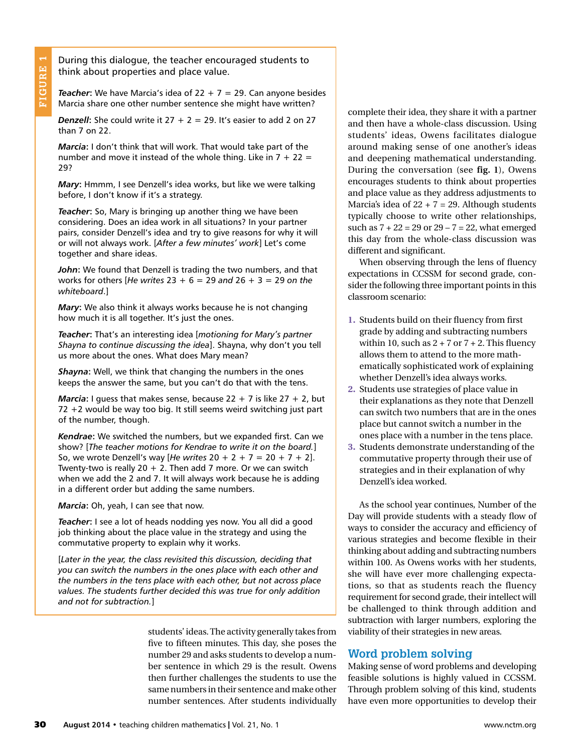During this dialogue, the teacher encouraged students to think about properties and place value.

**Teacher:** We have Marcia's idea of  $22 + 7 = 29$ . Can anyone besides Marcia share one other number sentence she might have written?

**Denzell:** She could write it  $27 + 2 = 29$ . It's easier to add 2 on 27 than 7 on 22.

*Marcia***:** I don't think that will work. That would take part of the number and move it instead of the whole thing. Like in  $7 + 22 =$ 29?

*Mary*: Hmmm, I see Denzell's idea works, but like we were talking before, I don't know if it's a strategy.

*Teacher***:** So, Mary is bringing up another thing we have been considering. Does an idea work in all situations? In your partner pairs, consider Denzell's idea and try to give reasons for why it will or will not always work. [*After a few minutes' work*] Let's come together and share ideas.

*John***:** We found that Denzell is trading the two numbers, and that works for others [*He writes* 23 + 6 = 29 *and* 26 + 3 = 29 *on the whiteboard*.]

*Mary***:** We also think it always works because he is not changing how much it is all together. It's just the ones.

*Teacher***:** That's an interesting idea [*motioning for Mary's partner Shayna to continue discussing the idea*]. Shayna, why don't you tell us more about the ones. What does Mary mean?

*Shayna***:** Well, we think that changing the numbers in the ones keeps the answer the same, but you can't do that with the tens.

*Marcia*: I guess that makes sense, because  $22 + 7$  is like  $27 + 2$ , but 72 +2 would be way too big. It still seems weird switching just part of the number, though.

*Kendrae***:** We switched the numbers, but we expanded first. Can we show? [*The teacher motions for Kendrae to write it on the board.*] So, we wrote Denzell's way [*He writes* 20 + 2 + 7 = 20 + 7 + 2]. Twenty-two is really  $20 + 2$ . Then add 7 more. Or we can switch when we add the 2 and 7. It will always work because he is adding in a different order but adding the same numbers.

*Marcia***:** Oh, yeah, I can see that now.

*Teacher***:** I see a lot of heads nodding yes now. You all did a good job thinking about the place value in the strategy and using the commutative property to explain why it works.

[*Later in the year, the class revisited this discussion, deciding that you can switch the numbers in the ones place with each other and the numbers in the tens place with each other, but not across place values. The students further decided this was true for only addition and not for subtraction.*]

> students' ideas. The activity generally takes from five to fifteen minutes. This day, she poses the number 29 and asks students to develop a number sentence in which 29 is the result. Owens then further challenges the students to use the same numbers in their sentence and make other number sentences. After students individually

complete their idea, they share it with a partner and then have a whole-class discussion. Using students' ideas, Owens facilitates dialogue around making sense of one another's ideas and deepening mathematical understanding. During the conversation (see **fig. 1**), Owens encourages students to think about properties and place value as they address adjustments to Marcia's idea of  $22 + 7 = 29$ . Although students typically choose to write other relationships, such as  $7 + 22 = 29$  or  $29 - 7 = 22$ , what emerged this day from the whole-class discussion was different and significant.

When observing through the lens of fluency expectations in CCSSM for second grade, consider the following three important points in this classroom scenario:

- **1.** Students build on their fluency from first grade by adding and subtracting numbers within 10, such as  $2 + 7$  or  $7 + 2$ . This fluency allows them to attend to the more mathematically sophisticated work of explaining whether Denzell's idea always works.
- **2.** Students use strategies of place value in their explanations as they note that Denzell can switch two numbers that are in the ones place but cannot switch a number in the ones place with a number in the tens place.
- **3.** Students demonstrate understanding of the commutative property through their use of strategies and in their explanation of why Denzell's idea worked.

As the school year continues, Number of the Day will provide students with a steady flow of ways to consider the accuracy and efficiency of various strategies and become flexible in their thinking about adding and subtracting numbers within 100. As Owens works with her students, she will have ever more challenging expectations, so that as students reach the fluency requirement for second grade, their intellect will be challenged to think through addition and subtraction with larger numbers, exploring the viability of their strategies in new areas.

# **Word problem solving**

Making sense of word problems and developing feasible solutions is highly valued in CCSSM. Through problem solving of this kind, students have even more opportunities to develop their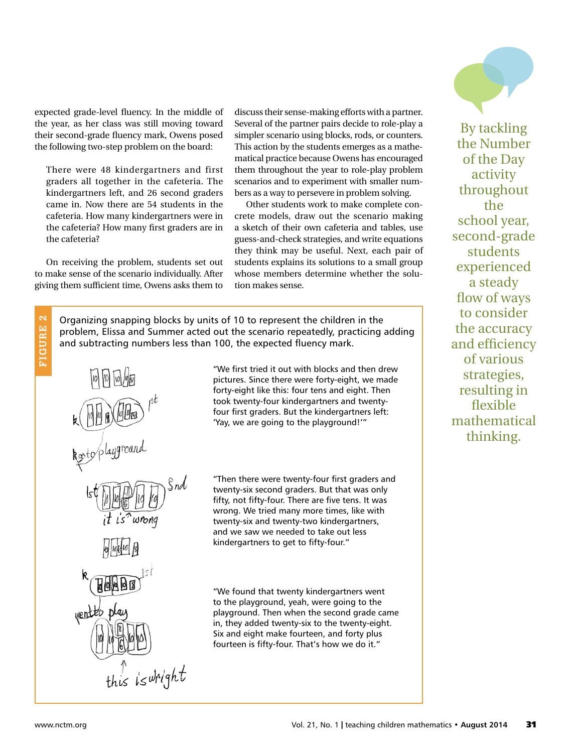expected grade-level fluency. In the middle of the year, as her class was still moving toward their second-grade fluency mark, Owens posed the following two-step problem on the board:

There were 48 kindergartners and first graders all together in the cafeteria. The kindergartners left, and 26 second graders came in. Now there are 54 students in the cafeteria. How many kindergartners were in the cafeteria? How many first graders are in the cafeteria?

On receiving the problem, students set out to make sense of the scenario individually. After giving them sufficient time, Owens asks them to discuss their sense-making efforts with a partner. Several of the partner pairs decide to role-play a simpler scenario using blocks, rods, or counters. This action by the students emerges as a mathematical practice because Owens has encouraged them throughout the year to role-play problem scenarios and to experiment with smaller numbers as a way to persevere in problem solving.

Other students work to make complete concrete models, draw out the scenario making a sketch of their own cafeteria and tables, use guess-and-check strategies, and write equations they think may be useful. Next, each pair of students explains its solutions to a small group whose members determine whether the solution makes sense.

Organizing snapping blocks by units of 10 to represent the children in the problem, Elissa and Summer acted out the scenario repeatedly, practicing adding and subtracting numbers less than 100, the expected fluency mark.

wrong this is wright "We first tried it out with blocks and then drew pictures. Since there were forty-eight, we made forty-eight like this: four tens and eight. Then took twenty-four kindergartners and twentyfour first graders. But the kindergartners left: 'Yay, we are going to the playground!'"

"Then there were twenty-four first graders and twenty-six second graders. But that was only fifty, not fifty-four. There are five tens. It was wrong. We tried many more times, like with twenty-six and twenty-two kindergartners, and we saw we needed to take out less kindergartners to get to fifty-four."

"We found that twenty kindergartners went to the playground, yeah, were going to the playground. Then when the second grade came in, they added twenty-six to the twenty-eight. Six and eight make fourteen, and forty plus fourteen is fifty-four. That's how we do it."



**FIGURE 2**

붑

**GURE** 

 $\overline{\mathbf{c}}$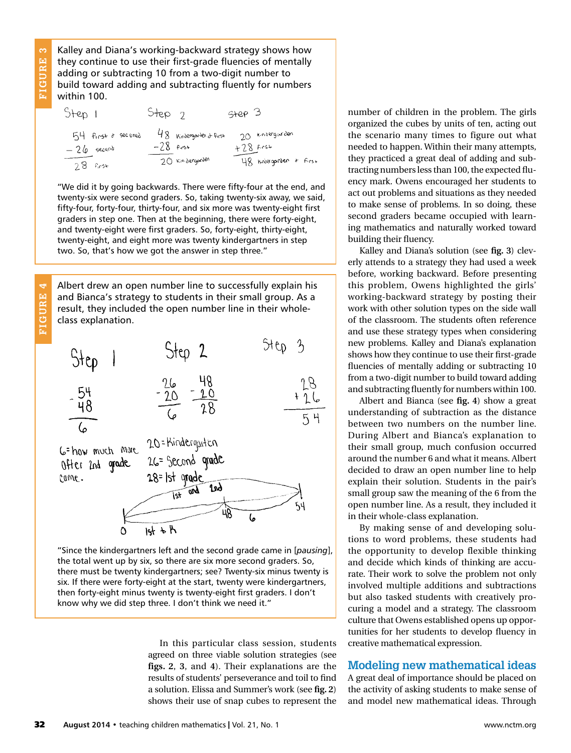$\infty$ **FIGURE 3 GURE** 

**FIGURE 4**

FIGURE

4

Kalley and Diana's working-backward strategy shows how they continue to use their first-grade fluencies of mentally adding or subtracting 10 from a two-digit number to build toward adding and subtracting fluently for numbers within 100.

| Step 1                     | Step 2 |                                        | $S+CP$ 3                       |
|----------------------------|--------|----------------------------------------|--------------------------------|
| 54 first & secened         |        | 48 Kindergarden & first<br>$-28$ first | 20 kindergarden<br>$+28$ first |
| $-26$ second<br>$28$ first |        | 20 Kindergorden                        | 48 modergarden & first         |

"We did it by going backwards. There were fifty-four at the end, and twenty-six were second graders. So, taking twenty-six away, we said, fifty-four, forty-four, thirty-four, and six more was twenty-eight first graders in step one. Then at the beginning, there were forty-eight, and twenty-eight were first graders. So, forty-eight, thirty-eight, twenty-eight, and eight more was twenty kindergartners in step two. So, that's how we got the answer in step three."

Albert drew an open number line to successfully explain his and Bianca's strategy to students in their small group. As a result, they included the open number line in their wholeclass explanation.



"Since the kindergartners left and the second grade came in [*pausing*], the total went up by six, so there are six more second graders. So, there must be twenty kindergartners; see? Twenty-six minus twenty is six. If there were forty-eight at the start, twenty were kindergartners, then forty-eight minus twenty is twenty-eight first graders. I don't know why we did step three. I don't think we need it."

> In this particular class session, students agreed on three viable solution strategies (see **figs. 2**, **3**, and **4**). Their explanations are the results of students' perseverance and toil to find a solution. Elissa and Summer's work (see **fig. 2**) shows their use of snap cubes to represent the

number of children in the problem. The girls organized the cubes by units of ten, acting out the scenario many times to figure out what needed to happen. Within their many attempts, they practiced a great deal of adding and subtracting numbers less than 100, the expected fluency mark. Owens encouraged her students to act out problems and situations as they needed to make sense of problems. In so doing, these second graders became occupied with learning mathematics and naturally worked toward building their fluency.

Kalley and Diana's solution (see **fig. 3**) cleverly attends to a strategy they had used a week before, working backward. Before presenting this problem, Owens highlighted the girls' working-backward strategy by posting their work with other solution types on the side wall of the classroom. The students often reference and use these strategy types when considering new problems. Kalley and Diana's explanation shows how they continue to use their first-grade fluencies of mentally adding or subtracting 10 from a two-digit number to build toward adding and subtracting fluently for numbers within 100.

Albert and Bianca (see **fig. 4**) show a great understanding of subtraction as the distance between two numbers on the number line. During Albert and Bianca's explanation to their small group, much confusion occurred around the number 6 and what it means. Albert decided to draw an open number line to help explain their solution. Students in the pair's small group saw the meaning of the 6 from the open number line. As a result, they included it in their whole-class explanation.

By making sense of and developing solutions to word problems, these students had the opportunity to develop flexible thinking and decide which kinds of thinking are accurate. Their work to solve the problem not only involved multiple additions and subtractions but also tasked students with creatively procuring a model and a strategy. The classroom culture that Owens established opens up opportunities for her students to develop fluency in creative mathematical expression.

# **Modeling new mathematical ideas**

A great deal of importance should be placed on the activity of asking students to make sense of and model new mathematical ideas. Through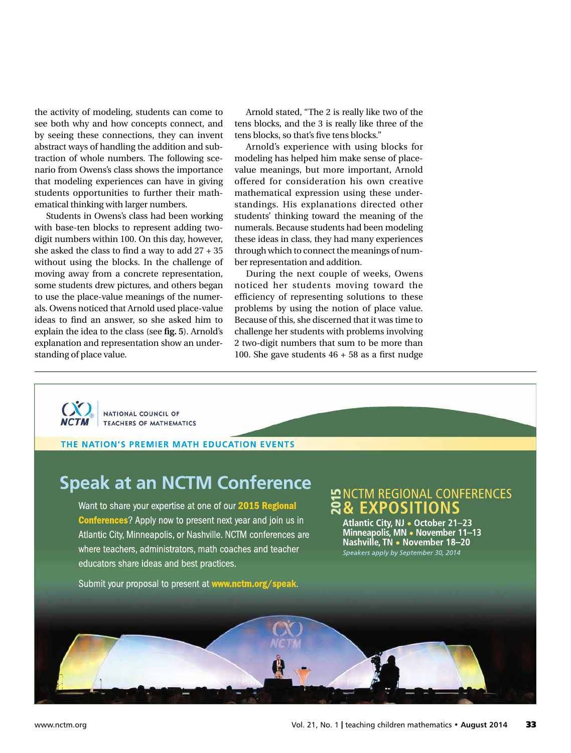the activity of modeling, students can come to see both why and how concepts connect, and by seeing these connections, they can invent abstract ways of handling the addition and subtraction of whole numbers. The following scenario from Owens's class shows the importance that modeling experiences can have in giving students opportunities to further their mathematical thinking with larger numbers.

Students in Owens's class had been working with base-ten blocks to represent adding twodigit numbers within 100. On this day, however, she asked the class to find a way to add 27 + 35 without using the blocks. In the challenge of moving away from a concrete representation, some students drew pictures, and others began to use the place-value meanings of the numerals. Owens noticed that Arnold used place-value ideas to find an answer, so she asked him to explain the idea to the class (see **fig. 5**). Arnold's explanation and representation show an understanding of place value.

Arnold stated, "The 2 is really like two of the tens blocks, and the 3 is really like three of the tens blocks, so that's five tens blocks."

Arnold's experience with using blocks for modeling has helped him make sense of placevalue meanings, but more important, Arnold offered for consideration his own creative mathematical expression using these understandings. His explanations directed other students' thinking toward the meaning of the numerals. Because students had been modeling these ideas in class, they had many experiences through which to connect the meanings of number representation and addition.

During the next couple of weeks, Owens noticed her students moving toward the efficiency of representing solutions to these problems by using the notion of place value. Because of this, she discerned that it was time to challenge her students with problems involving 2 two-digit numbers that sum to be more than 100. She gave students 46 + 58 as a first nudge

NATIONAL COUNCIL OF TEACHERS OF MATHEMATICS

**THE NATION'S PREMIER MATH EDUCATION EVENTS**

# **Speak at an NCTM Conference**

Want to share your expertise at one of our **2015 Regional** Conferences? Apply now to present next year and join us in Atlantic City, Minneapolis, or Nashville. NCTM conferences are where teachers, administrators, math coaches and teacher educators share ideas and best practices.

Submit your proposal to present at **www.nctm.org/speak**.

#### NCTM REGIONAL CONFERENCES **& EXPOSITIONS** 20 <u>հ</u>

**Atlantic City, NJ • October 21–23 Minneapolis, MN • November 11–13 Nashville, TN • November 18–20** *Speakers apply by September 30, 2014*

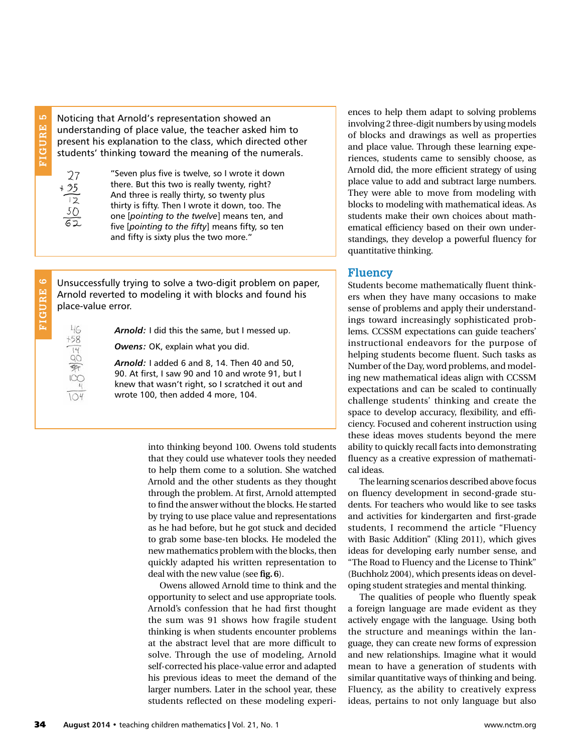LO **FIGURE 5** FIGURE

**FIGURE 6**

FIGURE

ဖ

Noticing that Arnold's representation showed an understanding of place value, the teacher asked him to present his explanation to the class, which directed other students' thinking toward the meaning of the numerals.

 $27$ + 35  $\overline{2}$ 50

> 46  $+58$  $rac{14}{90}$

"Seven plus five is twelve, so I wrote it down there. But this two is really twenty, right? And three is really thirty, so twenty plus thirty is fifty. Then I wrote it down, too. The one [*pointing to the twelve*] means ten, and five [*pointing to the fifty*] means fifty, so ten and fifty is sixty plus the two more."

Unsuccessfully trying to solve a two-digit problem on paper, Arnold reverted to modeling it with blocks and found his place-value error.

*Arnold:* I did this the same, but I messed up.

*Owens:* OK, explain what you did.

*Arnold:* I added 6 and 8, 14. Then 40 and 50, 90. At first, I saw 90 and 10 and wrote 91, but I knew that wasn't right, so I scratched it out and wrote 100, then added 4 more, 104.

> into thinking beyond 100. Owens told students that they could use whatever tools they needed to help them come to a solution. She watched Arnold and the other students as they thought through the problem. At first, Arnold attempted to find the answer without the blocks. He started by trying to use place value and representations as he had before, but he got stuck and decided to grab some base-ten blocks. He modeled the new mathematics problem with the blocks, then quickly adapted his written representation to deal with the new value (see **fig. 6**).

> Owens allowed Arnold time to think and the opportunity to select and use appropriate tools. Arnold's confession that he had first thought the sum was 91 shows how fragile student thinking is when students encounter problems at the abstract level that are more difficult to solve. Through the use of modeling, Arnold self-corrected his place-value error and adapted his previous ideas to meet the demand of the larger numbers. Later in the school year, these students reflected on these modeling experi-

ences to help them adapt to solving problems involving 2 three-digit numbers by using models of blocks and drawings as well as properties and place value. Through these learning experiences, students came to sensibly choose, as Arnold did, the more efficient strategy of using place value to add and subtract large numbers. They were able to move from modeling with blocks to modeling with mathematical ideas. As students make their own choices about mathematical efficiency based on their own understandings, they develop a powerful fluency for quantitative thinking.

#### **Fluency**

Students become mathematically fluent thinkers when they have many occasions to make sense of problems and apply their understandings toward increasingly sophisticated problems. CCSSM expectations can guide teachers' instructional endeavors for the purpose of helping students become fluent. Such tasks as Number of the Day, word problems, and modeling new mathematical ideas align with CCSSM expectations and can be scaled to continually challenge students' thinking and create the space to develop accuracy, flexibility, and efficiency. Focused and coherent instruction using these ideas moves students beyond the mere ability to quickly recall facts into demonstrating fluency as a creative expression of mathematical ideas.

The learning scenarios described above focus on fluency development in second-grade students. For teachers who would like to see tasks and activities for kindergarten and first-grade students, I recommend the article "Fluency with Basic Addition" (Kling 2011), which gives ideas for developing early number sense, and "The Road to Fluency and the License to Think" (Buchholz 2004), which presents ideas on developing student strategies and mental thinking.

The qualities of people who fluently speak a foreign language are made evident as they actively engage with the language. Using both the structure and meanings within the language, they can create new forms of expression and new relationships. Imagine what it would mean to have a generation of students with similar quantitative ways of thinking and being. Fluency, as the ability to creatively express ideas, pertains to not only language but also